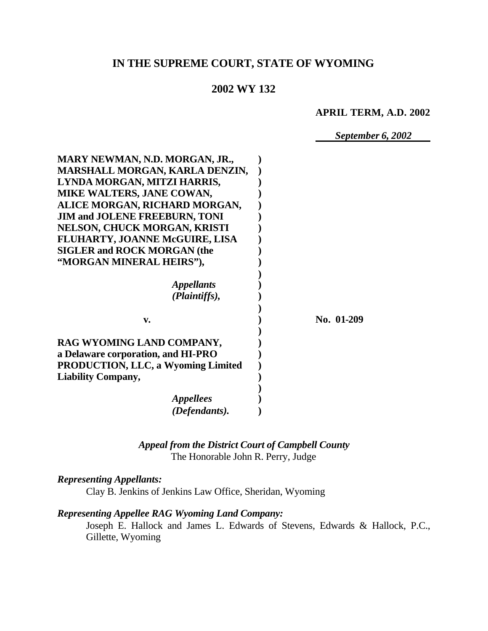# **IN THE SUPREME COURT, STATE OF WYOMING**

## **2002 WY 132**

#### **APRIL TERM, A.D. 2002**

*September 6, 2002*

| MARY NEWMAN, N.D. MORGAN, JR.,            |            |
|-------------------------------------------|------------|
| MARSHALL MORGAN, KARLA DENZIN,            |            |
| LYNDA MORGAN, MITZI HARRIS,               |            |
| MIKE WALTERS, JANE COWAN,                 |            |
| ALICE MORGAN, RICHARD MORGAN,             |            |
| <b>JIM and JOLENE FREEBURN, TONI</b>      |            |
| NELSON, CHUCK MORGAN, KRISTI              |            |
| FLUHARTY, JOANNE McGUIRE, LISA            |            |
| <b>SIGLER and ROCK MORGAN (the</b>        |            |
| "MORGAN MINERAL HEIRS"),                  |            |
|                                           |            |
| <i><b>Appellants</b></i>                  |            |
| (Plaintiffs),                             |            |
|                                           |            |
| v.                                        | No. 01-209 |
|                                           |            |
| RAG WYOMING LAND COMPANY,                 |            |
| a Delaware corporation, and HI-PRO        |            |
| <b>PRODUCTION, LLC, a Wyoming Limited</b> |            |
| <b>Liability Company,</b>                 |            |
|                                           |            |
| <i><b>Appellees</b></i>                   |            |
| (Defendants).                             |            |
|                                           |            |

*Appeal from the District Court of Campbell County* The Honorable John R. Perry, Judge

## *Representing Appellants:*

Clay B. Jenkins of Jenkins Law Office, Sheridan, Wyoming

## *Representing Appellee RAG Wyoming Land Company:*

Joseph E. Hallock and James L. Edwards of Stevens, Edwards & Hallock, P.C., Gillette, Wyoming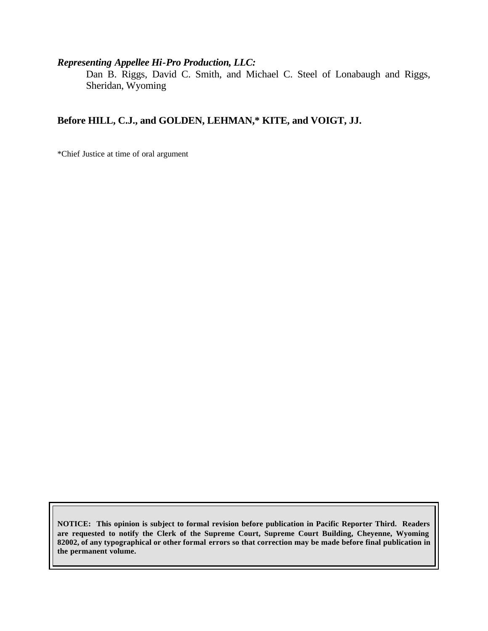## *Representing Appellee Hi-Pro Production, LLC:*

Dan B. Riggs, David C. Smith, and Michael C. Steel of Lonabaugh and Riggs, Sheridan, Wyoming

## **Before HILL, C.J., and GOLDEN, LEHMAN,\* KITE, and VOIGT, JJ.**

\*Chief Justice at time of oral argument

**NOTICE: This opinion is subject to formal revision before publication in Pacific Reporter Third. Readers are requested to notify the Clerk of the Supreme Court, Supreme Court Building, Cheyenne, Wyoming 82002, of any typographical or other formal errors so that correction may be made before final publication in the permanent volume.**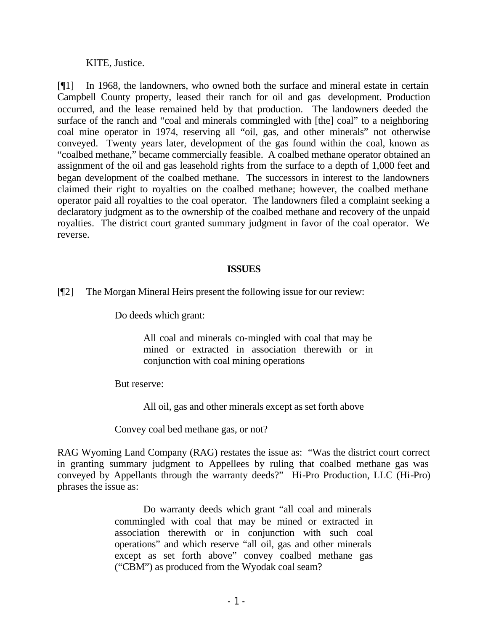KITE, Justice.

[¶1] In 1968, the landowners, who owned both the surface and mineral estate in certain Campbell County property, leased their ranch for oil and gas development. Production occurred, and the lease remained held by that production. The landowners deeded the surface of the ranch and "coal and minerals commingled with [the] coal" to a neighboring coal mine operator in 1974, reserving all "oil, gas, and other minerals" not otherwise conveyed. Twenty years later, development of the gas found within the coal, known as "coalbed methane," became commercially feasible. A coalbed methane operator obtained an assignment of the oil and gas leasehold rights from the surface to a depth of 1,000 feet and began development of the coalbed methane. The successors in interest to the landowners claimed their right to royalties on the coalbed methane; however, the coalbed methane operator paid all royalties to the coal operator. The landowners filed a complaint seeking a declaratory judgment as to the ownership of the coalbed methane and recovery of the unpaid royalties. The district court granted summary judgment in favor of the coal operator. We reverse.

#### **ISSUES**

[¶2] The Morgan Mineral Heirs present the following issue for our review:

Do deeds which grant:

All coal and minerals co-mingled with coal that may be mined or extracted in association therewith or in conjunction with coal mining operations

But reserve:

All oil, gas and other minerals except as set forth above

Convey coal bed methane gas, or not?

RAG Wyoming Land Company (RAG) restates the issue as: "Was the district court correct in granting summary judgment to Appellees by ruling that coalbed methane gas was conveyed by Appellants through the warranty deeds?" Hi-Pro Production, LLC (Hi-Pro) phrases the issue as:

> Do warranty deeds which grant "all coal and minerals commingled with coal that may be mined or extracted in association therewith or in conjunction with such coal operations" and which reserve "all oil, gas and other minerals except as set forth above" convey coalbed methane gas ("CBM") as produced from the Wyodak coal seam?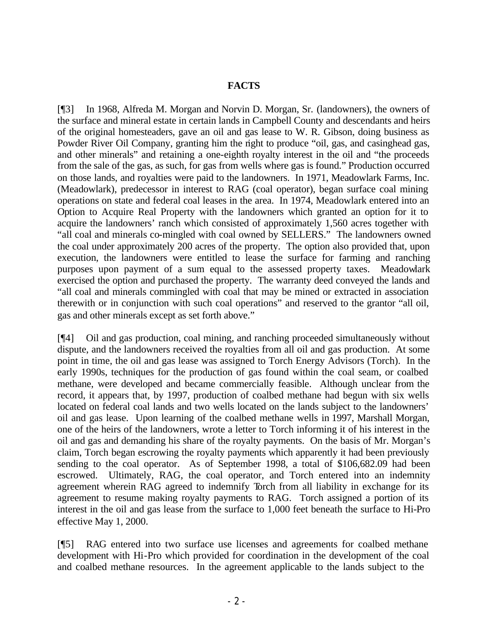### **FACTS**

[¶3] In 1968, Alfreda M. Morgan and Norvin D. Morgan, Sr. (landowners), the owners of the surface and mineral estate in certain lands in Campbell County and descendants and heirs of the original homesteaders, gave an oil and gas lease to W. R. Gibson, doing business as Powder River Oil Company, granting him the right to produce "oil, gas, and casinghead gas, and other minerals" and retaining a one-eighth royalty interest in the oil and "the proceeds from the sale of the gas, as such, for gas from wells where gas is found." Production occurred on those lands, and royalties were paid to the landowners. In 1971, Meadowlark Farms, Inc. (Meadowlark), predecessor in interest to RAG (coal operator), began surface coal mining operations on state and federal coal leases in the area. In 1974, Meadowlark entered into an Option to Acquire Real Property with the landowners which granted an option for it to acquire the landowners' ranch which consisted of approximately 1,560 acres together with "all coal and minerals co-mingled with coal owned by SELLERS." The landowners owned the coal under approximately 200 acres of the property. The option also provided that, upon execution, the landowners were entitled to lease the surface for farming and ranching purposes upon payment of a sum equal to the assessed property taxes. Meadowlark exercised the option and purchased the property. The warranty deed conveyed the lands and "all coal and minerals commingled with coal that may be mined or extracted in association therewith or in conjunction with such coal operations" and reserved to the grantor "all oil, gas and other minerals except as set forth above."

[¶4] Oil and gas production, coal mining, and ranching proceeded simultaneously without dispute, and the landowners received the royalties from all oil and gas production. At some point in time, the oil and gas lease was assigned to Torch Energy Advisors (Torch). In the early 1990s, techniques for the production of gas found within the coal seam, or coalbed methane, were developed and became commercially feasible. Although unclear from the record, it appears that, by 1997, production of coalbed methane had begun with six wells located on federal coal lands and two wells located on the lands subject to the landowners' oil and gas lease. Upon learning of the coalbed methane wells in 1997, Marshall Morgan, one of the heirs of the landowners, wrote a letter to Torch informing it of his interest in the oil and gas and demanding his share of the royalty payments. On the basis of Mr. Morgan's claim, Torch began escrowing the royalty payments which apparently it had been previously sending to the coal operator. As of September 1998, a total of \$106,682.09 had been escrowed. Ultimately, RAG, the coal operator, and Torch entered into an indemnity agreement wherein RAG agreed to indemnify Torch from all liability in exchange for its agreement to resume making royalty payments to RAG. Torch assigned a portion of its interest in the oil and gas lease from the surface to 1,000 feet beneath the surface to Hi-Pro effective May 1, 2000.

[¶5] RAG entered into two surface use licenses and agreements for coalbed methane development with Hi-Pro which provided for coordination in the development of the coal and coalbed methane resources. In the agreement applicable to the lands subject to the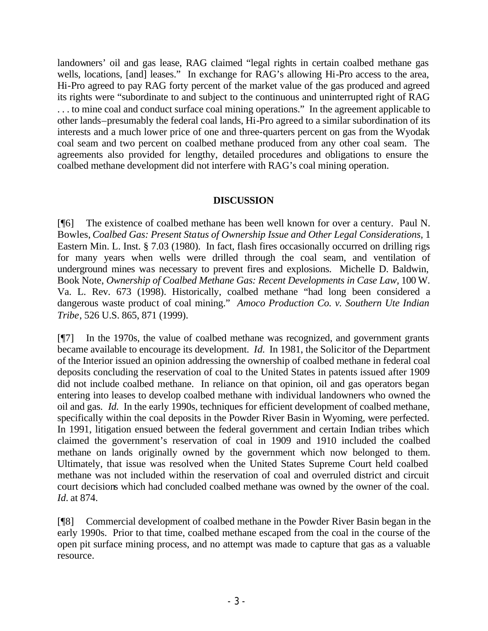landowners' oil and gas lease, RAG claimed "legal rights in certain coalbed methane gas wells, locations, [and] leases." In exchange for RAG's allowing Hi-Pro access to the area, Hi-Pro agreed to pay RAG forty percent of the market value of the gas produced and agreed its rights were "subordinate to and subject to the continuous and uninterrupted right of RAG ... to mine coal and conduct surface coal mining operations." In the agreement applicable to other lands–presumably the federal coal lands, Hi-Pro agreed to a similar subordination of its interests and a much lower price of one and three-quarters percent on gas from the Wyodak coal seam and two percent on coalbed methane produced from any other coal seam. The agreements also provided for lengthy, detailed procedures and obligations to ensure the coalbed methane development did not interfere with RAG's coal mining operation.

## **DISCUSSION**

[¶6] The existence of coalbed methane has been well known for over a century. Paul N. Bowles, *Coalbed Gas: Present Status of Ownership Issue and Other Legal Considerations,* 1 Eastern Min. L. Inst. § 7.03 (1980). In fact, flash fires occasionally occurred on drilling rigs for many years when wells were drilled through the coal seam, and ventilation of underground mines was necessary to prevent fires and explosions. Michelle D. Baldwin, Book Note, *Ownership of Coalbed Methane Gas: Recent Developments in Case Law,* 100 W. Va. L. Rev. 673 (1998). Historically, coalbed methane "had long been considered a dangerous waste product of coal mining." *Amoco Production Co. v. Southern Ute Indian Tribe*, 526 U.S. 865, 871 (1999).

[¶7] In the 1970s, the value of coalbed methane was recognized, and government grants became available to encourage its development. *Id.* In 1981, the Solicitor of the Department of the Interior issued an opinion addressing the ownership of coalbed methane in federal coal deposits concluding the reservation of coal to the United States in patents issued after 1909 did not include coalbed methane. In reliance on that opinion, oil and gas operators began entering into leases to develop coalbed methane with individual landowners who owned the oil and gas. *Id.* In the early 1990s, techniques for efficient development of coalbed methane, specifically within the coal deposits in the Powder River Basin in Wyoming, were perfected. In 1991, litigation ensued between the federal government and certain Indian tribes which claimed the government's reservation of coal in 1909 and 1910 included the coalbed methane on lands originally owned by the government which now belonged to them. Ultimately, that issue was resolved when the United States Supreme Court held coalbed methane was not included within the reservation of coal and overruled district and circuit court decisions which had concluded coalbed methane was owned by the owner of the coal. *Id.* at 874.

[¶8] Commercial development of coalbed methane in the Powder River Basin began in the early 1990s. Prior to that time, coalbed methane escaped from the coal in the course of the open pit surface mining process, and no attempt was made to capture that gas as a valuable resource.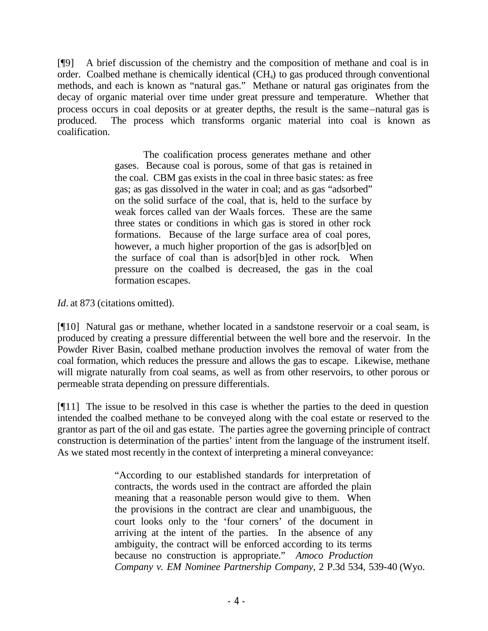[¶9] A brief discussion of the chemistry and the composition of methane and coal is in order. Coalbed methane is chemically identical (CH4) to gas produced through conventional methods, and each is known as "natural gas." Methane or natural gas originates from the decay of organic material over time under great pressure and temperature. Whether that process occurs in coal deposits or at greater depths, the result is the same–natural gas is produced. The process which transforms organic material into coal is known as coalification.

> The coalification process generates methane and other gases. Because coal is porous, some of that gas is retained in the coal. CBM gas exists in the coal in three basic states: as free gas; as gas dissolved in the water in coal; and as gas "adsorbed" on the solid surface of the coal, that is, held to the surface by weak forces called van der Waals forces. These are the same three states or conditions in which gas is stored in other rock formations. Because of the large surface area of coal pores, however, a much higher proportion of the gas is adsor[b]ed on the surface of coal than is adsor[b]ed in other rock. When pressure on the coalbed is decreased, the gas in the coal formation escapes.

*Id.* at 873 (citations omitted).

[¶10] Natural gas or methane, whether located in a sandstone reservoir or a coal seam, is produced by creating a pressure differential between the well bore and the reservoir. In the Powder River Basin, coalbed methane production involves the removal of water from the coal formation, which reduces the pressure and allows the gas to escape. Likewise, methane will migrate naturally from coal seams, as well as from other reservoirs, to other porous or permeable strata depending on pressure differentials.

[¶11] The issue to be resolved in this case is whether the parties to the deed in question intended the coalbed methane to be conveyed along with the coal estate or reserved to the grantor as part of the oil and gas estate. The parties agree the governing principle of contract construction is determination of the parties' intent from the language of the instrument itself. As we stated most recently in the context of interpreting a mineral conveyance:

> "According to our established standards for interpretation of contracts, the words used in the contract are afforded the plain meaning that a reasonable person would give to them. When the provisions in the contract are clear and unambiguous, the court looks only to the 'four corners' of the document in arriving at the intent of the parties. In the absence of any ambiguity, the contract will be enforced according to its terms because no construction is appropriate." *Amoco Production Company v. EM Nominee Partnership Company*, 2 P.3d 534, 539-40 (Wyo.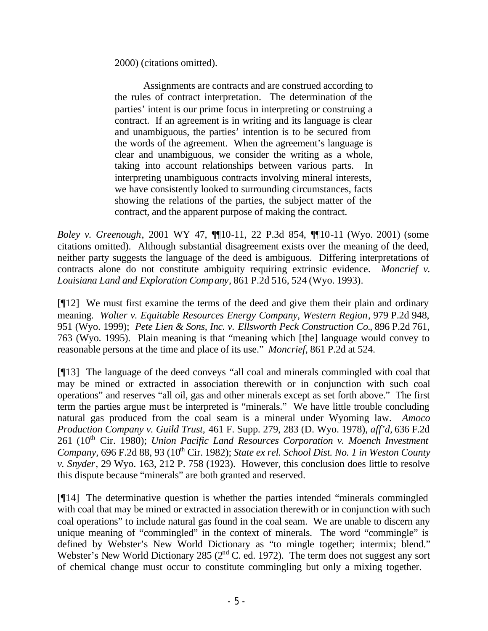2000) (citations omitted).

Assignments are contracts and are construed according to the rules of contract interpretation. The determination of the parties' intent is our prime focus in interpreting or construing a contract. If an agreement is in writing and its language is clear and unambiguous, the parties' intention is to be secured from the words of the agreement. When the agreement's language is clear and unambiguous, we consider the writing as a whole, taking into account relationships between various parts. In interpreting unambiguous contracts involving mineral interests, we have consistently looked to surrounding circumstances, facts showing the relations of the parties, the subject matter of the contract, and the apparent purpose of making the contract.

*Boley v. Greenough*, 2001 WY 47, ¶¶10-11, 22 P.3d 854, ¶¶10-11 (Wyo. 2001) (some citations omitted). Although substantial disagreement exists over the meaning of the deed, neither party suggests the language of the deed is ambiguous. Differing interpretations of contracts alone do not constitute ambiguity requiring extrinsic evidence. *Moncrief v. Louisiana Land and Exploration Company*, 861 P.2d 516, 524 (Wyo. 1993).

[¶12] We must first examine the terms of the deed and give them their plain and ordinary meaning*. Wolter v. Equitable Resources Energy Company, Western Region*, 979 P.2d 948, 951 (Wyo. 1999); *Pete Lien & Sons, Inc. v. Ellsworth Peck Construction Co.*, 896 P.2d 761, 763 (Wyo. 1995). Plain meaning is that "meaning which [the] language would convey to reasonable persons at the time and place of its use." *Moncrief*, 861 P.2d at 524.

[¶13] The language of the deed conveys "all coal and minerals commingled with coal that may be mined or extracted in association therewith or in conjunction with such coal operations" and reserves "all oil, gas and other minerals except as set forth above." The first term the parties argue must be interpreted is "minerals." We have little trouble concluding natural gas produced from the coal seam is a mineral under Wyoming law. *Amoco Production Company v. Guild Trust,* 461 F. Supp. 279, 283 (D. Wyo. 1978), *aff'd,* 636 F.2d 261 (10<sup>th</sup> Cir. 1980); *Union Pacific Land Resources Corporation v. Moench Investment Company, 696 F.2d 88, 93 (10<sup>th</sup> Cir. 1982); <i>State ex rel. School Dist. No. 1 in Weston County v. Snyder*, 29 Wyo. 163, 212 P. 758 (1923). However, this conclusion does little to resolve this dispute because "minerals" are both granted and reserved.

[¶14] The determinative question is whether the parties intended "minerals commingled with coal that may be mined or extracted in association therewith or in conjunction with such coal operations" to include natural gas found in the coal seam. We are unable to discern any unique meaning of "commingled" in the context of minerals. The word "commingle" is defined by Webster's New World Dictionary as "to mingle together; intermix; blend." Webster's New World Dictionary 285 (2<sup>nd</sup> C. ed. 1972). The term does not suggest any sort of chemical change must occur to constitute commingling but only a mixing together.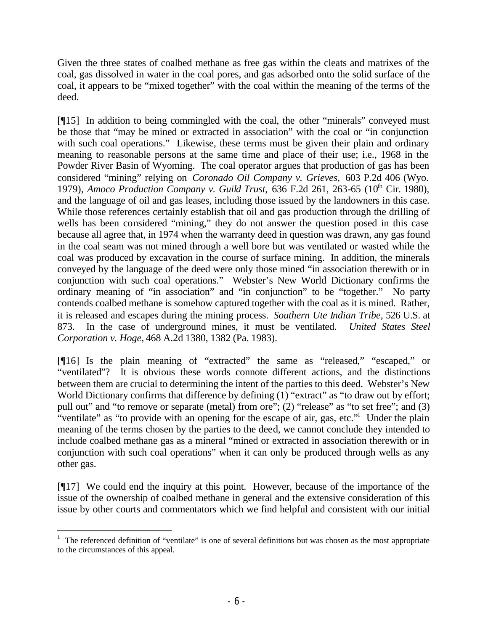Given the three states of coalbed methane as free gas within the cleats and matrixes of the coal, gas dissolved in water in the coal pores, and gas adsorbed onto the solid surface of the coal, it appears to be "mixed together" with the coal within the meaning of the terms of the deed.

[¶15] In addition to being commingled with the coal, the other "minerals" conveyed must be those that "may be mined or extracted in association" with the coal or "in conjunction with such coal operations." Likewise, these terms must be given their plain and ordinary meaning to reasonable persons at the same time and place of their use; i.e., 1968 in the Powder River Basin of Wyoming. The coal operator argues that production of gas has been considered "mining" relying on *Coronado Oil Company v. Grieves,* 603 P.2d 406 (Wyo. 1979), *Amoco Production Company v. Guild Trust*, 636 F.2d 261, 263-65 (10<sup>th</sup> Cir. 1980), and the language of oil and gas leases, including those issued by the landowners in this case. While those references certainly establish that oil and gas production through the drilling of wells has been considered "mining," they do not answer the question posed in this case because all agree that, in 1974 when the warranty deed in question was drawn, any gas found in the coal seam was not mined through a well bore but was ventilated or wasted while the coal was produced by excavation in the course of surface mining. In addition, the minerals conveyed by the language of the deed were only those mined "in association therewith or in conjunction with such coal operations." Webster's New World Dictionary confirms the ordinary meaning of "in association" and "in conjunction" to be "together." No party contends coalbed methane is somehow captured together with the coal as it is mined. Rather, it is released and escapes during the mining process. *Southern Ute Indian Tribe*, 526 U.S. at 873. In the case of underground mines, it must be ventilated. *United States Steel Corporation v. Hoge,* 468 A.2d 1380, 1382 (Pa. 1983).

[¶16] Is the plain meaning of "extracted" the same as "released," "escaped," or "ventilated"? It is obvious these words connote different actions, and the distinctions between them are crucial to determining the intent of the parties to this deed. Webster's New World Dictionary confirms that difference by defining  $(1)$  "extract" as "to draw out by effort; pull out" and "to remove or separate (metal) from ore"; (2) "release" as "to set free"; and (3) "ventilate" as "to provide with an opening for the escape of air, gas, etc." Under the plain meaning of the terms chosen by the parties to the deed, we cannot conclude they intended to include coalbed methane gas as a mineral "mined or extracted in association therewith or in conjunction with such coal operations" when it can only be produced through wells as any other gas.

[¶17] We could end the inquiry at this point. However, because of the importance of the issue of the ownership of coalbed methane in general and the extensive consideration of this issue by other courts and commentators which we find helpful and consistent with our initial

 $1$  The referenced definition of "ventilate" is one of several definitions but was chosen as the most appropriate to the circumstances of this appeal.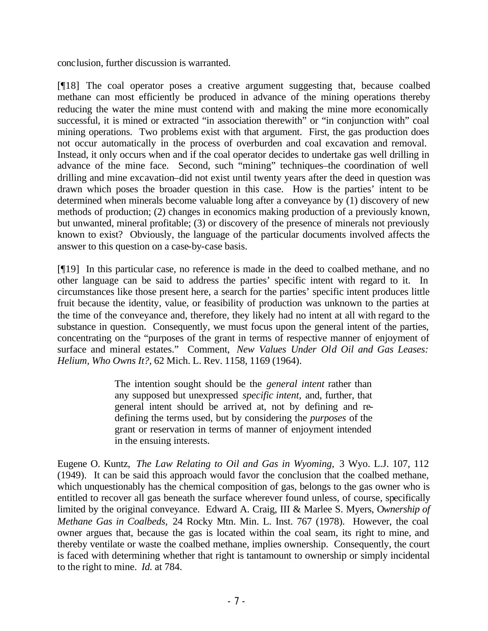conclusion, further discussion is warranted.

[¶18] The coal operator poses a creative argument suggesting that, because coalbed methane can most efficiently be produced in advance of the mining operations thereby reducing the water the mine must contend with and making the mine more economically successful, it is mined or extracted "in association therewith" or "in conjunction with" coal mining operations. Two problems exist with that argument. First, the gas production does not occur automatically in the process of overburden and coal excavation and removal. Instead, it only occurs when and if the coal operator decides to undertake gas well drilling in advance of the mine face. Second, such "mining" techniques–the coordination of well drilling and mine excavation–did not exist until twenty years after the deed in question was drawn which poses the broader question in this case. How is the parties' intent to be determined when minerals become valuable long after a conveyance by (1) discovery of new methods of production; (2) changes in economics making production of a previously known, but unwanted, mineral profitable; (3) or discovery of the presence of minerals not previously known to exist? Obviously, the language of the particular documents involved affects the answer to this question on a case-by-case basis.

[¶19] In this particular case, no reference is made in the deed to coalbed methane, and no other language can be said to address the parties' specific intent with regard to it. In circumstances like those present here, a search for the parties' specific intent produces little fruit because the identity, value, or feasibility of production was unknown to the parties at the time of the conveyance and, therefore, they likely had no intent at all with regard to the substance in question. Consequently, we must focus upon the general intent of the parties, concentrating on the "purposes of the grant in terms of respective manner of enjoyment of surface and mineral estates." Comment, *New Values Under Old Oil and Gas Leases: Helium, Who Owns It?,* 62 Mich. L. Rev. 1158, 1169 (1964).

> The intention sought should be the *general intent* rather than any supposed but unexpressed *specific intent,* and, further, that general intent should be arrived at, not by defining and redefining the terms used, but by considering the *purposes* of the grant or reservation in terms of manner of enjoyment intended in the ensuing interests.

Eugene O. Kuntz, *The Law Relating to Oil and Gas in Wyoming,* 3 Wyo. L.J. 107, 112 (1949). It can be said this approach would favor the conclusion that the coalbed methane, which unquestionably has the chemical composition of gas, belongs to the gas owner who is entitled to recover all gas beneath the surface wherever found unless, of course, specifically limited by the original conveyance. Edward A. Craig, III & Marlee S. Myers, O*wnership of Methane Gas in Coalbeds,* 24 Rocky Mtn. Min. L. Inst. 767 (1978). However, the coal owner argues that, because the gas is located within the coal seam, its right to mine, and thereby ventilate or waste the coalbed methane, implies ownership. Consequently, the court is faced with determining whether that right is tantamount to ownership or simply incidental to the right to mine. *Id.* at 784.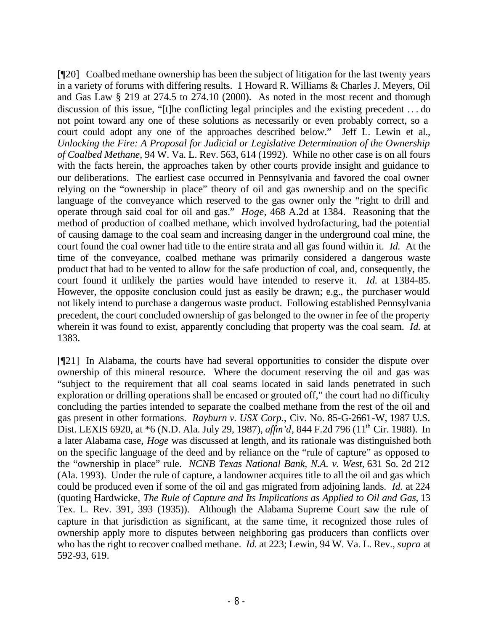[¶20] Coalbed methane ownership has been the subject of litigation for the last twenty years in a variety of forums with differing results. 1 Howard R. Williams & Charles J. Meyers, Oil and Gas Law § 219 at 274.5 to 274.10 (2000). As noted in the most recent and thorough discussion of this issue, "[t]he conflicting legal principles and the existing precedent .. . do not point toward any one of these solutions as necessarily or even probably correct, so a court could adopt any one of the approaches described below." Jeff L. Lewin et al., *Unlocking the Fire: A Proposal for Judicial or Legislative Determination of the Ownership of Coalbed Methane*, 94 W. Va. L. Rev. 563, 614 (1992). While no other case is on all fours with the facts herein, the approaches taken by other courts provide insight and guidance to our deliberations. The earliest case occurred in Pennsylvania and favored the coal owner relying on the "ownership in place" theory of oil and gas ownership and on the specific language of the conveyance which reserved to the gas owner only the "right to drill and operate through said coal for oil and gas." *Hoge*, 468 A.2d at 1384. Reasoning that the method of production of coalbed methane, which involved hydrofacturing, had the potential of causing damage to the coal seam and increasing danger in the underground coal mine, the court found the coal owner had title to the entire strata and all gas found within it. *Id.* At the time of the conveyance, coalbed methane was primarily considered a dangerous waste product that had to be vented to allow for the safe production of coal, and, consequently, the court found it unlikely the parties would have intended to reserve it. *Id.* at 1384-85. However, the opposite conclusion could just as easily be drawn; e.g., the purchaser would not likely intend to purchase a dangerous waste product. Following established Pennsylvania precedent, the court concluded ownership of gas belonged to the owner in fee of the property wherein it was found to exist, apparently concluding that property was the coal seam. *Id.* at 1383.

[¶21] In Alabama, the courts have had several opportunities to consider the dispute over ownership of this mineral resource. Where the document reserving the oil and gas was "subject to the requirement that all coal seams located in said lands penetrated in such exploration or drilling operations shall be encased or grouted off," the court had no difficulty concluding the parties intended to separate the coalbed methane from the rest of the oil and gas present in other formations. *Rayburn v. USX Corp.,* Civ. No. 85-G-2661-W, 1987 U.S. Dist. LEXIS 6920, at \*6 (N.D. Ala. July 29, 1987), *affm'd*, 844 F.2d 796 (11<sup>th</sup> Cir. 1988). In a later Alabama case, *Hoge* was discussed at length, and its rationale was distinguished both on the specific language of the deed and by reliance on the "rule of capture" as opposed to the "ownership in place" rule. *NCNB Texas National Bank, N.A. v. West,* 631 So. 2d 212 (Ala. 1993). Under the rule of capture, a landowner acquires title to all the oil and gas which could be produced even if some of the oil and gas migrated from adjoining lands. *Id.* at 224 (quoting Hardwicke, *The Rule of Capture and Its Implications as Applied to Oil and Gas*, 13 Tex. L. Rev. 391, 393 (1935)). Although the Alabama Supreme Court saw the rule of capture in that jurisdiction as significant, at the same time, it recognized those rules of ownership apply more to disputes between neighboring gas producers than conflicts over who has the right to recover coalbed methane. *Id.* at 223; Lewin, 94 W. Va. L. Rev., *supra* at 592-93, 619.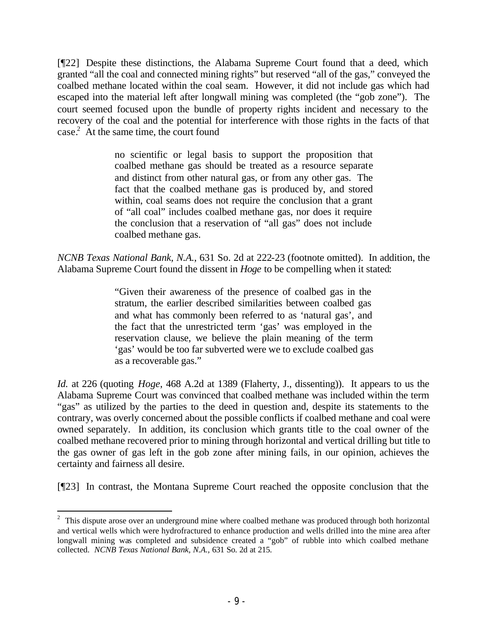[¶22] Despite these distinctions, the Alabama Supreme Court found that a deed, which granted "all the coal and connected mining rights" but reserved "all of the gas," conveyed the coalbed methane located within the coal seam. However, it did not include gas which had escaped into the material left after longwall mining was completed (the "gob zone"). The court seemed focused upon the bundle of property rights incident and necessary to the recovery of the coal and the potential for interference with those rights in the facts of that case.<sup>2</sup> At the same time, the court found

> no scientific or legal basis to support the proposition that coalbed methane gas should be treated as a resource separate and distinct from other natural gas, or from any other gas. The fact that the coalbed methane gas is produced by, and stored within, coal seams does not require the conclusion that a grant of "all coal" includes coalbed methane gas, nor does it require the conclusion that a reservation of "all gas" does not include coalbed methane gas.

*NCNB Texas National Bank, N.A.*, 631 So. 2d at 222-23 (footnote omitted). In addition, the Alabama Supreme Court found the dissent in *Hoge* to be compelling when it stated:

> "Given their awareness of the presence of coalbed gas in the stratum, the earlier described similarities between coalbed gas and what has commonly been referred to as 'natural gas', and the fact that the unrestricted term 'gas' was employed in the reservation clause, we believe the plain meaning of the term 'gas' would be too far subverted were we to exclude coalbed gas as a recoverable gas."

*Id.* at 226 (quoting *Hoge*, 468 A.2d at 1389 (Flaherty, J., dissenting)). It appears to us the Alabama Supreme Court was convinced that coalbed methane was included within the term "gas" as utilized by the parties to the deed in question and, despite its statements to the contrary, was overly concerned about the possible conflicts if coalbed methane and coal were owned separately. In addition, its conclusion which grants title to the coal owner of the coalbed methane recovered prior to mining through horizontal and vertical drilling but title to the gas owner of gas left in the gob zone after mining fails, in our opinion, achieves the certainty and fairness all desire.

[¶23] In contrast, the Montana Supreme Court reached the opposite conclusion that the

 $2$  This dispute arose over an underground mine where coalbed methane was produced through both horizontal and vertical wells which were hydrofractured to enhance production and wells drilled into the mine area after longwall mining was completed and subsidence created a "gob" of rubble into which coalbed methane collected. *NCNB Texas National Bank, N.A.,* 631 So. 2d at 215.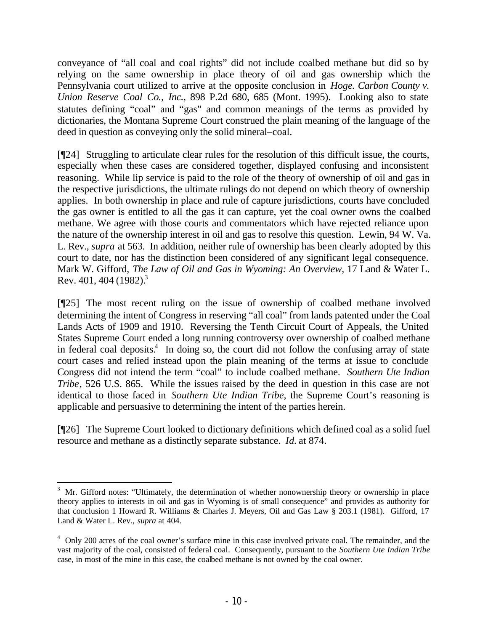conveyance of "all coal and coal rights" did not include coalbed methane but did so by relying on the same ownership in place theory of oil and gas ownership which the Pennsylvania court utilized to arrive at the opposite conclusion in *Hoge. Carbon County v. Union Reserve Coal Co., Inc.*, 898 P.2d 680, 685 (Mont. 1995). Looking also to state statutes defining "coal" and "gas" and common meanings of the terms as provided by dictionaries, the Montana Supreme Court construed the plain meaning of the language of the deed in question as conveying only the solid mineral–coal.

[¶24] Struggling to articulate clear rules for the resolution of this difficult issue, the courts, especially when these cases are considered together, displayed confusing and inconsistent reasoning. While lip service is paid to the role of the theory of ownership of oil and gas in the respective jurisdictions, the ultimate rulings do not depend on which theory of ownership applies. In both ownership in place and rule of capture jurisdictions, courts have concluded the gas owner is entitled to all the gas it can capture, yet the coal owner owns the coalbed methane. We agree with those courts and commentators which have rejected reliance upon the nature of the ownership interest in oil and gas to resolve this question. Lewin, 94 W. Va. L. Rev., *supra* at 563. In addition, neither rule of ownership has been clearly adopted by this court to date, nor has the distinction been considered of any significant legal consequence. Mark W. Gifford, *The Law of Oil and Gas in Wyoming: An Overview,* 17 Land & Water L. Rev. 401, 404 (1982).<sup>3</sup>

[¶25] The most recent ruling on the issue of ownership of coalbed methane involved determining the intent of Congress in reserving "all coal" from lands patented under the Coal Lands Acts of 1909 and 1910. Reversing the Tenth Circuit Court of Appeals, the United States Supreme Court ended a long running controversy over ownership of coalbed methane in federal coal deposits.<sup>4</sup> In doing so, the court did not follow the confusing array of state court cases and relied instead upon the plain meaning of the terms at issue to conclude Congress did not intend the term "coal" to include coalbed methane. *Southern Ute Indian Tribe*, 526 U.S. 865. While the issues raised by the deed in question in this case are not identical to those faced in *Southern Ute Indian Tribe*, the Supreme Court's reasoning is applicable and persuasive to determining the intent of the parties herein.

[¶26] The Supreme Court looked to dictionary definitions which defined coal as a solid fuel resource and methane as a distinctly separate substance. *Id.* at 874.

 $3$  Mr. Gifford notes: "Ultimately, the determination of whether nonownership theory or ownership in place theory applies to interests in oil and gas in Wyoming is of small consequence" and provides as authority for that conclusion 1 Howard R. Williams & Charles J. Meyers, Oil and Gas Law § 203.1 (1981). Gifford, 17 Land & Water L. Rev., *supra* at 404.

<sup>&</sup>lt;sup>4</sup> Only 200 acres of the coal owner's surface mine in this case involved private coal. The remainder, and the vast majority of the coal, consisted of federal coal. Consequently, pursuant to the *Southern Ute Indian Tribe*  case, in most of the mine in this case, the coalbed methane is not owned by the coal owner.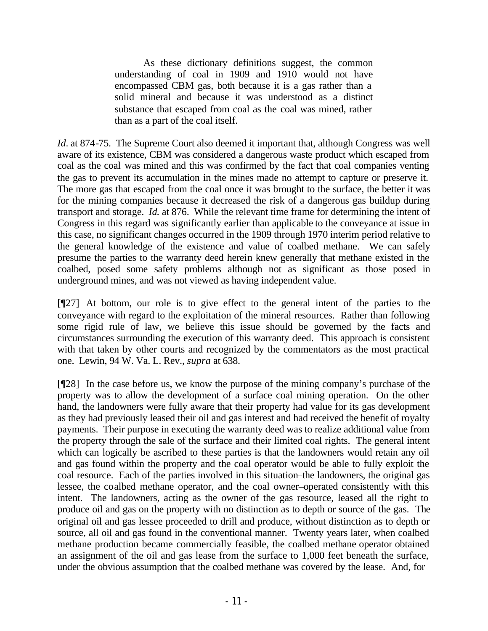As these dictionary definitions suggest, the common understanding of coal in 1909 and 1910 would not have encompassed CBM gas, both because it is a gas rather than a solid mineral and because it was understood as a distinct substance that escaped from coal as the coal was mined, rather than as a part of the coal itself.

*Id.* at 874-75. The Supreme Court also deemed it important that, although Congress was well aware of its existence, CBM was considered a dangerous waste product which escaped from coal as the coal was mined and this was confirmed by the fact that coal companies venting the gas to prevent its accumulation in the mines made no attempt to capture or preserve it. The more gas that escaped from the coal once it was brought to the surface, the better it was for the mining companies because it decreased the risk of a dangerous gas buildup during transport and storage. *Id.* at 876. While the relevant time frame for determining the intent of Congress in this regard was significantly earlier than applicable to the conveyance at issue in this case, no significant changes occurred in the 1909 through 1970 interim period relative to the general knowledge of the existence and value of coalbed methane. We can safely presume the parties to the warranty deed herein knew generally that methane existed in the coalbed, posed some safety problems although not as significant as those posed in underground mines, and was not viewed as having independent value.

[¶27] At bottom, our role is to give effect to the general intent of the parties to the conveyance with regard to the exploitation of the mineral resources. Rather than following some rigid rule of law, we believe this issue should be governed by the facts and circumstances surrounding the execution of this warranty deed. This approach is consistent with that taken by other courts and recognized by the commentators as the most practical one. Lewin, 94 W. Va. L. Rev., *supra* at 638.

[¶28] In the case before us, we know the purpose of the mining company's purchase of the property was to allow the development of a surface coal mining operation. On the other hand, the landowners were fully aware that their property had value for its gas development as they had previously leased their oil and gas interest and had received the benefit of royalty payments. Their purpose in executing the warranty deed was to realize additional value from the property through the sale of the surface and their limited coal rights. The general intent which can logically be ascribed to these parties is that the landowners would retain any oil and gas found within the property and the coal operator would be able to fully exploit the coal resource. Each of the parties involved in this situation–the landowners, the original gas lessee, the coalbed methane operator, and the coal owner–operated consistently with this intent. The landowners, acting as the owner of the gas resource, leased all the right to produce oil and gas on the property with no distinction as to depth or source of the gas. The original oil and gas lessee proceeded to drill and produce, without distinction as to depth or source, all oil and gas found in the conventional manner. Twenty years later, when coalbed methane production became commercially feasible, the coalbed methane operator obtained an assignment of the oil and gas lease from the surface to 1,000 feet beneath the surface, under the obvious assumption that the coalbed methane was covered by the lease. And, for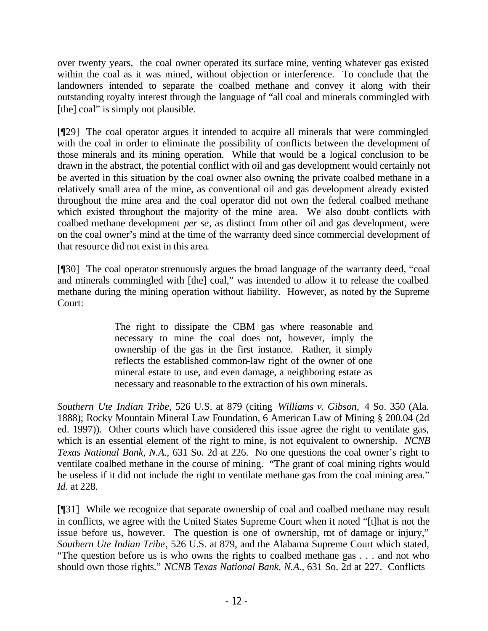over twenty years, the coal owner operated its surface mine, venting whatever gas existed within the coal as it was mined, without objection or interference. To conclude that the landowners intended to separate the coalbed methane and convey it along with their outstanding royalty interest through the language of "all coal and minerals commingled with [the] coal" is simply not plausible.

[¶29] The coal operator argues it intended to acquire all minerals that were commingled with the coal in order to eliminate the possibility of conflicts between the development of those minerals and its mining operation. While that would be a logical conclusion to be drawn in the abstract, the potential conflict with oil and gas development would certainly not be averted in this situation by the coal owner also owning the private coalbed methane in a relatively small area of the mine, as conventional oil and gas development already existed throughout the mine area and the coal operator did not own the federal coalbed methane which existed throughout the majority of the mine area. We also doubt conflicts with coalbed methane development *per se*, as distinct from other oil and gas development, were on the coal owner's mind at the time of the warranty deed since commercial development of that resource did not exist in this area.

[¶30] The coal operator strenuously argues the broad language of the warranty deed, "coal and minerals commingled with [the] coal," was intended to allow it to release the coalbed methane during the mining operation without liability. However, as noted by the Supreme Court:

> The right to dissipate the CBM gas where reasonable and necessary to mine the coal does not, however, imply the ownership of the gas in the first instance. Rather, it simply reflects the established common-law right of the owner of one mineral estate to use, and even damage, a neighboring estate as necessary and reasonable to the extraction of his own minerals.

*Southern Ute Indian Tribe*, 526 U.S. at 879 (citing *Williams v. Gibson,* 4 So. 350 (Ala. 1888); Rocky Mountain Mineral Law Foundation, 6 American Law of Mining § 200.04 (2d ed. 1997)). Other courts which have considered this issue agree the right to ventilate gas, which is an essential element of the right to mine, is not equivalent to ownership. *NCNB Texas National Bank, N.A.,* 631 So. 2d at 226. No one questions the coal owner's right to ventilate coalbed methane in the course of mining. "The grant of coal mining rights would be useless if it did not include the right to ventilate methane gas from the coal mining area." *Id.* at 228.

[¶31] While we recognize that separate ownership of coal and coalbed methane may result in conflicts, we agree with the United States Supreme Court when it noted "[t]hat is not the issue before us, however. The question is one of ownership, not of damage or injury," *Southern Ute Indian Tribe*, 526 U.S. at 879, and the Alabama Supreme Court which stated, "The question before us is who owns the rights to coalbed methane gas . . . and not who should own those rights." *NCNB Texas National Bank, N.A.,* 631 So. 2d at 227. Conflicts